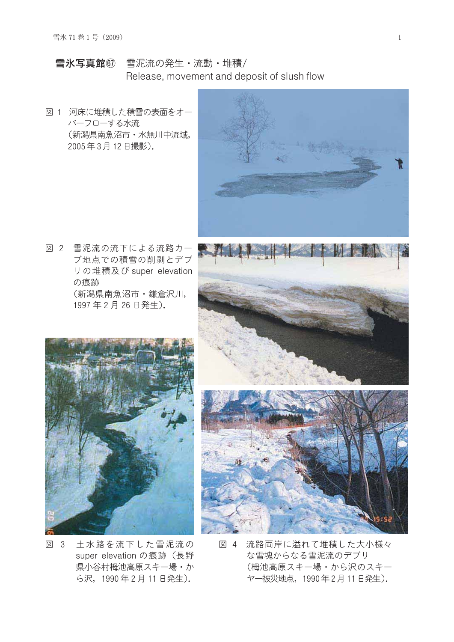- 雪氷写真館67 雪泥流の発生·流動·堆積/ Release, movement and deposit of slush flow
- 図 1 河床に堆積した積雪の表面をオー バーフローする水流 (新潟県南魚沼市·水無川中流域, 2005年3月12日撮影).



図 2 雪泥流の流下による流路カー ブ地点での積雪の削剥とデブ リの堆積及び super elevation の痕跡 (新潟県南魚沼市·鎌倉沢川, 1997年2月26日発生).





- 図 3 土水路を流下した雪泥流の super elevation の痕跡 (長野 県小谷村栂池高原スキー場・か ら沢, 1990年2月11日発生).
- 図 4 流路両岸に溢れて堆積した大小様々 な雪塊からなる雪泥流のデブリ (栂池高原スキー場・から沢のスキー ヤー被災地点, 1990年2月11日発生).